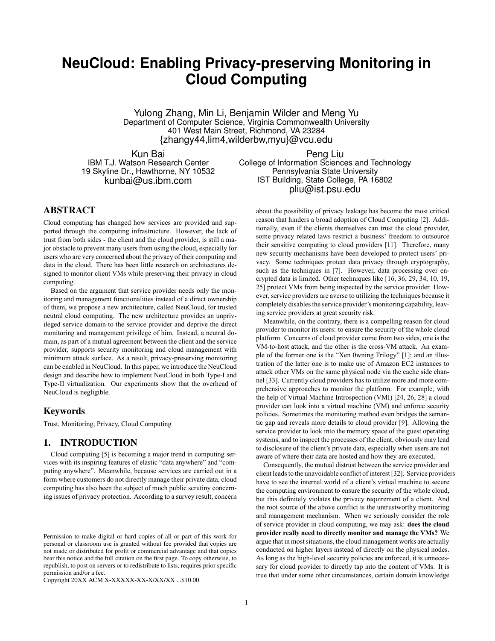# **NeuCloud: Enabling Privacy-preserving Monitoring in Cloud Computing**

Yulong Zhang, Min Li, Benjamin Wilder and Meng Yu Department of Computer Science, Virginia Commonwealth University 401 West Main Street, Richmond, VA 23284 {zhangy44,lim4,wilderbw,myu}@vcu.edu

Kun Bai IBM T.J. Watson Research Center 19 Skyline Dr., Hawthorne, NY 10532 kunbai@us.ibm.com

Peng Liu College of Information Sciences and Technology Pennsylvania State University IST Building, State College, PA 16802 pliu@ist.psu.edu

# ABSTRACT

Cloud computing has changed how services are provided and supported through the computing infrastructure. However, the lack of trust from both sides - the client and the cloud provider, is still a major obstacle to prevent many users from using the cloud, especially for users who are very concerned about the privacy of their computing and data in the cloud. There has been little research on architectures designed to monitor client VMs while preserving their privacy in cloud computing.

Based on the argument that service provider needs only the monitoring and management functionalities instead of a direct ownership of them, we propose a new architecture, called NeuCloud, for trusted neutral cloud computing. The new architecture provides an unprivileged service domain to the service provider and deprive the direct monitoring and management privilege of him. Instead, a neutral domain, as part of a mutual agreement between the client and the service provider, supports security monitoring and cloud management with minimum attack surface. As a result, privacy-preserving monitoring can be enabled in NeuCloud. In this paper, we introduce the NeuCloud design and describe how to implement NeuCloud in both Type-I and Type-II virtualization. Our experiments show that the overhead of NeuCloud is negligible.

## Keywords

Trust, Monitoring, Privacy, Cloud Computing

## 1. INTRODUCTION

Cloud computing [5] is becoming a major trend in computing services with its inspiring features of elastic "data anywhere" and "computing anywhere". Meanwhile, because services are carried out in a form where customers do not directly manage their private data, cloud computing has also been the subject of much public scrutiny concerning issues of privacy protection. According to a survey result, concern

Copyright 20XX ACM X-XXXXX-XX-X/XX/XX ...\$10.00.

about the possibility of privacy leakage has become the most critical reason that hinders a broad adoption of Cloud Computing [2]. Additionally, even if the clients themselves can trust the cloud provider, some privacy related laws restrict a business' freedom to outsource their sensitive computing to cloud providers [11]. Therefore, many new security mechanisms have been developed to protect users' privacy. Some techniques protect data privacy through cryptography, such as the techniques in [7]. However, data processing over encrypted data is limited. Other techniques like [16, 36, 29, 34, 10, 19, 25] protect VMs from being inspected by the service provider. However, service providers are averse to utilizing the techniques because it completely disables the service provider's monitoring capability, leaving service providers at great security risk.

Meanwhile, on the contrary, there is a compelling reason for cloud provider to monitor its users: to ensure the security of the whole cloud platform. Concerns of cloud provider come from two sides, one is the VM-to-host attack, and the other is the cross-VM attack. An example of the former one is the "Xen 0wning Trilogy" [1]; and an illustration of the latter one is to make use of Amazon EC2 instances to attack other VMs on the same physical node via the cache side channel [33]. Currently cloud providers has to utilize more and more comprehensive approaches to monitor the platform. For example, with the help of Virtual Machine Introspection (VMI) [24, 26, 28] a cloud provider can look into a virtual machine (VM) and enforce security policies. Sometimes the monitoring method even bridges the semantic gap and reveals more details to cloud provider [9]. Allowing the service provider to look into the memory space of the guest operating systems, and to inspect the processes of the client, obviously may lead to disclosure of the client's private data, especially when users are not aware of where their data are hosted and how they are executed.

Consequently, the mutual distrust between the service provider and client leads to the unavoidable conflict of interest [32]. Service providers have to see the internal world of a client's virtual machine to secure the computing environment to ensure the security of the whole cloud, but this definitely violates the privacy requirement of a client. And the root source of the above conflict is the untrustworthy monitoring and management mechanism. When we seriously consider the role of service provider in cloud computing, we may ask: **does the cloud provider really need to directly monitor and manage the VMs?** We argue that in most situations, the cloud management works are actually conducted on higher layers instead of directly on the physical nodes. As long as the high-level security policies are enforced, it is unnecessary for cloud provider to directly tap into the content of VMs. It is true that under some other circumstances, certain domain knowledge

Permission to make digital or hard copies of all or part of this work for personal or classroom use is granted without fee provided that copies are not made or distributed for profit or commercial advantage and that copies bear this notice and the full citation on the first page. To copy otherwise, to republish, to post on servers or to redistribute to lists, requires prior specific permission and/or a fee.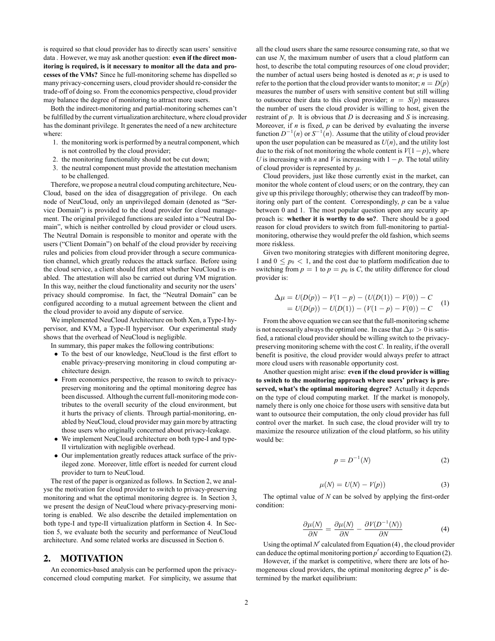is required so that cloud provider has to directly scan users' sensitive data . However, we may ask another question: **even if the direct monitoring is required, is it necessary to monitor all the data and processes of the VMs?** Since he full-monitoring scheme has dispelled so many privacy-concerning users, cloud provider should re-consider the trade-off of doing so. From the economics perspective, cloud provider may balance the degree of monitoring to attract more users.

Both the indirect-monitoring and partial-monitoring schemes can't be fulfilled by the current virtualization architecture, where cloud provider has the dominant privilege. It generates the need of a new architecture where:

- 1. the monitoring work is performed by a neutral component, which is not controlled by the cloud provider;
- 2. the monitoring functionality should not be cut down;
- 3. the neutral component must provide the attestation mechanism to be challenged.

Therefore, we propose a neutral cloud computing architecture, Neu-Cloud, based on the idea of disaggregation of privilege. On each node of NeuCloud, only an unprivileged domain (denoted as "Service Domain") is provided to the cloud provider for cloud management. The original privileged functions are sealed into a "Neutral Domain", which is neither controlled by cloud provider or cloud users. The Neutral Domain is responsible to monitor and operate with the users ("Client Domain") on behalf of the cloud provider by receiving rules and policies from cloud provider through a secure communication channel, which greatly reduces the attack surface. Before using the cloud service, a client should first attest whether NeuCloud is enabled. The attestation will also be carried out during VM migration. In this way, neither the cloud functionality and security nor the users' privacy should compromise. In fact, the "Neutral Domain" can be configured according to a mutual agreement between the client and the cloud provider to avoid any dispute of service.

We implemented NeuCloud Architecture on both Xen, a Type-I hypervisor, and KVM, a Type-II hypervisor. Our experimental study shows that the overhead of NeuCloud is negligible.

In summary, this paper makes the following contributions:

- *•* To the best of our knowledge, NeuCloud is the first effort to enable privacy-preserving monitoring in cloud computing architecture design.
- *•* From economics perspective, the reason to switch to privacypreserving monitoring and the optimal monitoring degree has been discussed. Although the current full-monitoring mode contributes to the overall security of the cloud environment, but it hurts the privacy of clients. Through partial-monitoring, enabled by NeuCloud, cloud provider may gain more by attracting those users who originally concerned about privacy-leakage.
- *•* We implement NeuCloud architecture on both type-I and type-II virtulization with negligible overhead.
- *•* Our implementation greatly reduces attack surface of the privileged zone. Moreover, little effort is needed for current cloud provider to turn to NeuCloud.

The rest of the paper is organized as follows. In Section 2, we analyse the motivation for cloud provider to switch to privacy-preserving monitoring and what the optimal monitoring degree is. In Section 3, we present the design of NeuCloud where privacy-preserving monitoring is enabled. We also describe the detailed implementation on both type-I and type-II virtualization platform in Section 4. In Section 5, we evaluate both the security and performance of NeuCloud architecture. And some related works are discussed in Section 6.

## 2. MOTIVATION

An economics-based analysis can be performed upon the privacyconcerned cloud computing market. For simplicity, we assume that all the cloud users share the same resource consuming rate, so that we can use *N*, the maximum number of users that a cloud platform can host, to describe the total computing resources of one cloud provider; the number of actual users being hosted is denoted as *n*; *p* is used to refer to the portion that the cloud provider wants to monitor;  $n = D(p)$ measures the number of users with sensitive content but still willing to outsource their data to this cloud provider;  $n = S(p)$  measures the number of users the cloud provider is willing to host, given the restraint of *p*. It is obvious that *D* is decreasing and *S* is increasing. Moreover, if  $n$  is fixed,  $p$  can be derived by evaluating the inverse function  $D^{-1}(n)$  or  $S^{-1}(n)$ . Assume that the utility of cloud provider upon the user population can be measured as  $U(n)$ , and the utility lost due to the risk of not monitoring the whole content is  $V(1-p)$ , where *U* is increasing with *n* and *V* is increasing with  $1 - p$ . The total utility of cloud provider is represented by *µ*.

Cloud providers, just like those currently exist in the market, can monitor the whole content of cloud users; or on the contrary, they can give up this privilege thoroughly; otherwise they can tradeoff by monitoring only part of the content. Correspondingly, *p* can be a value between 0 and 1. The most popular question upon any security approach is: **whether it is worthy to do so?**. There should be a good reason for cloud providers to switch from full-monitoring to partialmonitoring, otherwise they would prefer the old fashion, which seems more riskless.

Given two monitoring strategies with different monitoring degree, 1 and  $0 \leq p_0 < 1$ , and the cost due to platform modification due to switching from  $p = 1$  to  $p = p_0$  is *C*, the utility difference for cloud provider is:

$$
\Delta \mu = U(D(p)) - V(1 - p) - (U(D(1)) - V(0)) - C
$$
  
= U(D(p)) - U(D(1)) - (V(1 - p) - V(0)) - C (1)

From the above equation we can see that the full-monitoring scheme is not necessarily always the optimal one. In case that  $\Delta \mu > 0$  is satisfied, a rational cloud provider should be willing switch to the privacypreserving monitoring scheme with the cost *C*. In reality, if the overall benefit is positive, the cloud provider would always prefer to attract more cloud users with reasonable opportunity cost.

Another question might arise: **even if the cloud provider is willing to switch to the monitoring approach where users' privacy is preserved, what's the optimal monitoring degree?** Actually it depends on the type of cloud computing market. If the market is monopoly, namely there is only one choice for those users with sensitive data but want to outsource their computation, the only cloud provider has full control over the market. In such case, the cloud provider will try to maximize the resource utilization of the cloud platform, so his utility would be:

$$
p = D^{-1}(N) \tag{2}
$$

$$
\mu(N) = U(N) - V(p))\tag{3}
$$

The optimal value of *N* can be solved by applying the first-order condition:

$$
\frac{\partial \mu(N)}{\partial N} = \frac{\partial \mu(N)}{\partial N} - \frac{\partial V(D^{-1}(N))}{\partial N} \tag{4}
$$

Using the optimal  $N'$  calculated from Equation  $(4)$ , the cloud provider can deduce the optimal monitoring portion *p ′* according to Equation (2).

However, if the market is competitive, where there are lots of homogeneous cloud providers, the optimal monitoring degree  $p^*$  is determined by the market equilibrium: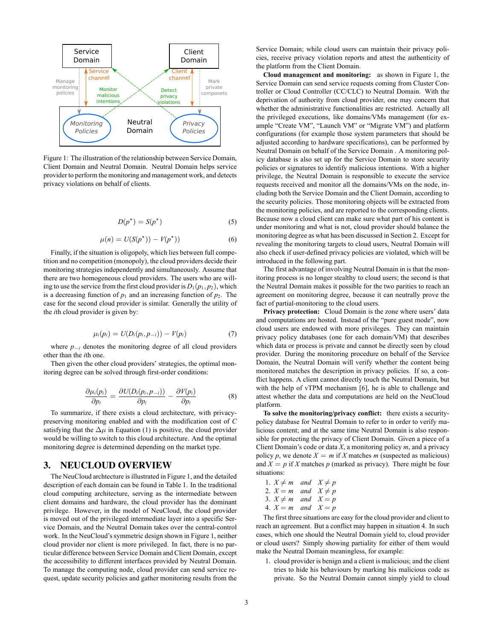

Figure 1: The illustration of the relationship between Service Domain, Client Domain and Neutral Domain. Neutral Domain helps service provider to perform the monitoring and management work, and detects privacy violations on behalf of clients.

$$
D(p^*) = S(p^*)\tag{5}
$$

$$
\mu(n) = U(S(p^{\star})) - V(p^{\star})) \tag{6}
$$

Finally, if the situation is oligopoly, which lies between full competition and no competition (monopoly), the cloud providers decide their monitoring strategies independently and simultaneously. Assume that there are two homogeneous cloud providers. The users who are willing to use the service from the first cloud provider is  $D_1(p_1, p_2)$ , which is a decreasing function of  $p_1$  and an increasing function of  $p_2$ . The case for the second cloud provider is similar. Generally the utility of the *i*th cloud provider is given by:

$$
\mu_i(p_i) = U(D_i(p_i, p_{-i})) - V(p_i)
$$
 (7)

where  $p_{-i}$  denotes the monitoring degree of all cloud providers other than the *i*th one.

Then given the other cloud providers' strategies, the optimal monitoring degree can be solved through first-order conditions:

$$
\frac{\partial \mu_i(p_i)}{\partial p_i} = \frac{\partial U(D_i(p_i, p_{-i}))}{\partial p_i} - \frac{\partial V(p_i)}{\partial p_i} \tag{8}
$$

To summarize, if there exists a cloud architecture, with privacypreserving monitoring enabled and with the modification cost of *C* satisfying that the  $\Delta \mu$  in Equation (1) is positive, the cloud provider would be willing to switch to this cloud architecture. And the optimal monitoring degree is determined depending on the market type.

## 3. NEUCLOUD OVERVIEW

The NeuCloud archtecture is illustrated in Figure 1, and the detailed description of each domain can be found in Table 1. In the traditional cloud computing architecture, serving as the intermediate between client domains and hardware, the cloud provider has the dominant privilege. However, in the model of NeuCloud, the cloud provider is moved out of the privileged intermediate layer into a specific Service Domain, and the Neutral Domain takes over the central-control work. In the NeuCloud's symmetric design shown in Figure 1, neither cloud provider nor client is more privileged. In fact, there is no particular difference between Service Domain and Client Domain, except the accessibility to different interfaces provided by Neutral Domain. To manage the computing node, cloud provider can send service request, update security policies and gather monitoring results from the Service Domain; while cloud users can maintain their privacy policies, receive privacy violation reports and attest the authenticity of the platform from the Client Domain.

**Cloud management and monitoring:** as shown in Figure 1, the Service Domain can send service requests coming from Cluster Controller or Cloud Controller (CC/CLC) to Neutral Domain. With the deprivation of authority from cloud provider, one may concern that whether the administrative functionalities are restricted. Actually all the privileged executions, like domains/VMs management (for example "Create VM", "Launch VM" or "Migrate VM") and platform configurations (for example those system parameters that should be adjusted according to hardware specifications), can be performed by Neutral Domain on behalf of the Service Domain . A monitoring policy database is also set up for the Service Domain to store security policies or signatures to identify malicious intentions. With a higher privilege, the Neutral Domain is responsible to execute the service requests received and monitor all the domains/VMs on the node, including both the Service Domain and the Client Domain, according to the security policies. Those monitoring objects will be extracted from the monitoring policies, and are reported to the corresponding clients. Because now a cloud client can make sure what part of his content is under monitoring and what is not, cloud provider should balance the monitoring degree as what has been discussed in Section 2. Except for revealing the monitoring targets to cloud users, Neutral Domain will also check if user-defined privacy policies are violated, which will be introduced in the following part.

The first advantage of involving Neutral Domain in is that the monitoring process is no longer stealthy to cloud users; the second is that the Neutral Domain makes it possible for the two parities to reach an agreement on monitoring degree, because it can neutrally prove the fact of partial-monitoring to the cloud users.

**Privacy protection:** Cloud Domain is the zone where users' data and computations are hosted. Instead of the "pure guest mode", now cloud users are endowed with more privileges. They can maintain privacy policy databases (one for each domain/VM) that describes which data or process is private and cannot be directly seen by cloud provider. During the monitoring procedure on behalf of the Service Domain, the Neutral Domain will verify whether the content being monitored matches the description in privacy policies. If so, a conflict happens. A client cannot directly touch the Neutral Domain, but with the help of vTPM mechanism [6], he is able to challenge and attest whether the data and computations are held on the NeuCloud platform.

**To solve the monitoring/privacy conflict:** there exists a securitypolicy database for Neutral Domain to refer to in order to verify malicious content; and at the same time Neutral Domain is also responsible for protecting the privacy of Client Domain. Given a piece of a Client Domain's code or data *X*, a monitoring policy *m*, and a privacy policy *p*, we denote  $X = m$  if *X* matches *m* (suspected as malicious) and  $X = p$  if *X* matches *p* (marked as privacy). There might be four situations:

| 1. $X \neq m$ and $X \neq p$                              |  |
|-----------------------------------------------------------|--|
| 2. $X = m$ and $X \neq p$                                 |  |
| 3. $X \neq m$ and $X = p$                                 |  |
| $A \quad V \quad \dots \quad \dots J \quad V \quad \dots$ |  |

4.  $X = m$  and  $X = p$ 

The first three situations are easy for the cloud provider and client to reach an agreement. But a conflict may happen in situation 4. In such cases, which one should the Neutral Domain yield to, cloud provider or cloud users? Simply showing partiality for either of them would make the Neutral Domain meaningless, for example:

1. cloud provider is benign and a client is malicious; and the client tries to hide his behaviours by marking his malicious code as private. So the Neutral Domain cannot simply yield to cloud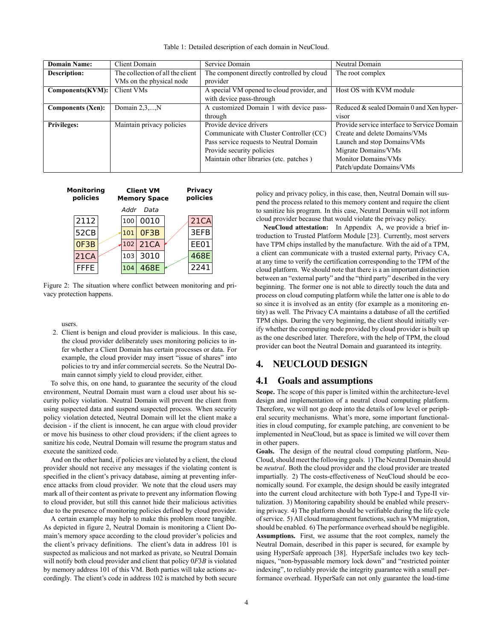| <b>Domain Name:</b> | <b>Client Domain</b>             | Service Domain                             | Neutral Domain                              |
|---------------------|----------------------------------|--------------------------------------------|---------------------------------------------|
| <b>Description:</b> | The collection of all the client | The component directly controlled by cloud | The root complex                            |
|                     | VMs on the physical node         | provider                                   |                                             |
| Components(KVM):    | Client VMs                       | A special VM opened to cloud provider, and | Host OS with KVM module                     |
|                     |                                  | with device pass-through                   |                                             |
| Components (Xen):   | Domain $2,3,,N$                  | A customized Domain 1 with device pass-    | Reduced & sealed Domain 0 and Xen hyper-    |
|                     |                                  | through                                    | visor                                       |
| <b>Privileges:</b>  | Maintain privacy policies        | Provide device drivers                     | Provide service interface to Service Domain |
|                     |                                  | Communicate with Cluster Controller (CC)   | Create and delete Domains/VMs               |
|                     |                                  | Pass service requests to Neutral Domain    | Launch and stop Domains/VMs                 |
|                     |                                  | Provide security policies                  | Migrate Domains/VMs                         |
|                     |                                  | Maintain other libraries (etc. patches)    | <b>Monitor Domains/VMs</b>                  |
|                     |                                  |                                            | Patch/update Domains/VMs                    |

Table 1: Detailed description of each domain in NeuCloud.



Figure 2: The situation where conflict between monitoring and privacy protection happens.

users.

2. Client is benign and cloud provider is malicious. In this case, the cloud provider deliberately uses monitoring policies to infer whether a Client Domain has certain processes or data. For example, the cloud provider may insert "issue of shares" into policies to try and infer commercial secrets. So the Neutral Domain cannot simply yield to cloud provider, either.

To solve this, on one hand, to guarantee the security of the cloud environment, Neutral Domain must warn a cloud user about his security policy violation. Neutral Domain will prevent the client from using suspected data and suspend suspected process. When security policy violation detected, Neutral Domain will let the client make a decision - if the client is innocent, he can argue with cloud provider or move his business to other cloud providers; if the client agrees to sanitize his code, Neutral Domain will resume the program status and execute the sanitized code.

And on the other hand, if policies are violated by a client, the cloud provider should not receive any messages if the violating content is specified in the client's privacy database, aiming at preventing inference attacks from cloud provider. We note that the cloud users may mark all of their content as private to prevent any information flowing to cloud provider, but still this cannot hide their malicious activities due to the presence of monitoring policies defined by cloud provider.

A certain example may help to make this problem more tangible. As depicted in figure 2, Neutral Domain is monitoring a Client Domain's memory space according to the cloud provider's policies and the client's privacy definitions. The client's data in address 101 is suspected as malicious and not marked as private, so Neutral Domain will notify both cloud provider and client that policy 0*F*3*B* is violated by memory address 101 of this VM. Both parties will take actions accordingly. The client's code in address 102 is matched by both secure policy and privacy policy, in this case, then, Neutral Domain will suspend the process related to this memory content and require the client to sanitize his program. In this case, Neutral Domain will not inform cloud provider because that would violate the privacy policy.

**NeuCloud attestation:** In Appendix A, we provide a brief introduction to Trusted Platform Module [23]. Currently, most servers have TPM chips installed by the manufacture. With the aid of a TPM, a client can communicate with a trusted external party, Privacy CA, at any time to verify the certification corresponding to the TPM of the cloud platform. We should note that there is a an important distinction between an "external party" and the "third party" described in the very beginning. The former one is not able to directly touch the data and process on cloud computing platform while the latter one is able to do so since it is involved as an entity (for example as a monitoring entity) as well. The Privacy CA maintains a database of all the certified TPM chips. During the very beginning, the client should initially verify whether the computing node provided by cloud provider is built up as the one described later. Therefore, with the help of TPM, the cloud provider can boot the Neutral Domain and guaranteed its integrity.

# 4. NEUCLOUD DESIGN

## 4.1 Goals and assumptions

**Scope.** The scope of this paper is limited within the architecture-level design and implementation of a neutral cloud computing platform. Therefore, we will not go deep into the details of low level or peripheral security mechanisms. What's more, some important functionalities in cloud computing, for example patching, are convenient to be implemented in NeuCloud, but as space is limited we will cover them in other papers.

**Goals.** The design of the neutral cloud computing platform, Neu-Cloud, should meet the following goals. 1) The Neutral Domain should be *neutral*. Both the cloud provider and the cloud provider are treated impartially. 2) The costs-effectiveness of NeuCloud should be economically sound. For example, the design should be easily integrated into the current cloud architecture with both Type-I and Type-II virtulization. 3) Monitoring capability should be enabled while preserving privacy. 4) The platform should be verifiable during the life cycle of service. 5) All cloud management functions, such as VM migration, should be enabled. 6) The performance overhead should be negligible. **Assumptions.** First, we assume that the root complex, namely the Neutral Domain, described in this paper is secured, for example by using HyperSafe approach [38]. HyperSafe includes two key techniques, "non-bypassable memory lock down" and "restricted pointer indexing", to reliably provide the integrity guarantee with a small performance overhead. HyperSafe can not only guarantee the load-time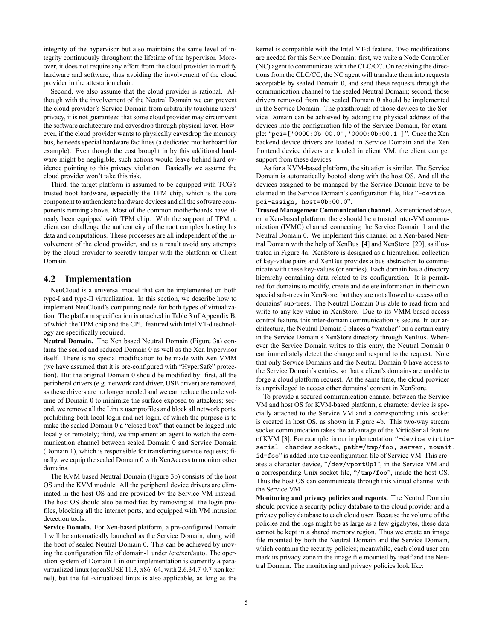integrity of the hypervisor but also maintains the same level of integrity continuously throughout the lifetime of the hypervisor. Moreover, it does not require any effort from the cloud provider to modify hardware and software, thus avoiding the involvement of the cloud provider in the attestation chain.

Second, we also assume that the cloud provider is rational. Although with the involvement of the Neutral Domain we can prevent the cloud provider's Service Domain from arbitrarily touching users' privacy, it is not guaranteed that some cloud provider may circumvent the software architecture and eavesdrop through physical layer. However, if the cloud provider wants to physically eavesdrop the memory bus, he needs special hardware facilities (a dedicated motherboard for example). Even though the cost brought in by this additional hardware might be negligible, such actions would leave behind hard evidence pointing to this privacy violation. Basically we assume the cloud provider won't take this risk.

Third, the target platform is assumed to be equipped with TCG's trusted boot hardware, especially the TPM chip, which is the core component to authenticate hardware devices and all the software components running above. Most of the common motherboards have already been equipped with TPM chip. With the support of TPM, a client can challenge the authenticity of the root complex hosting his data and computations. These processes are all independent of the involvement of the cloud provider, and as a result avoid any attempts by the cloud provider to secretly tamper with the platform or Client Domain.

## 4.2 Implementation

NeuCloud is a universal model that can be implemented on both type-I and type-II virtualization. In this section, we describe how to implement NeuCloud's computing node for both types of virtualization. The platform specification is attached in Table 3 of Appendix B, of which the TPM chip and the CPU featured with Intel VT-d technology are specifically required.

**Neutral Domain.** The Xen based Neutral Domain (Figure 3a) contains the sealed and reduced Domain 0 as well as the Xen hypervisor itself. There is no special modification to be made with Xen VMM (we have assumed that it is pre-configured with "HyperSafe" protection). But the original Domain 0 should be modified by: first, all the peripheral drivers (e.g. network card driver, USB driver) are removed, as these drivers are no longer needed and we can reduce the code volume of Domain 0 to minimize the surface exposed to attackers; second, we remove all the Linux user profiles and block all network ports, prohibiting both local login and net login, of which the purpose is to make the sealed Domain 0 a "closed-box" that cannot be logged into locally or remotely; third, we implement an agent to watch the communication channel between sealed Domain 0 and Service Domain (Domain 1), which is responsible for transferring service requests; finally, we equip the sealed Domain 0 with XenAccess to monitor other domains.

The KVM based Neutral Domain (Figure 3b) consists of the host OS and the KVM module. All the peripheral device drivers are eliminated in the host OS and are provided by the Service VM instead. The host OS should also be modified by removing all the login profiles, blocking all the internet ports, and equipped with VM intrusion detection tools.

**Service Domain.** For Xen-based platform, a pre-configured Domain 1 will be automatically launched as the Service Domain, along with the boot of sealed Neutral Domain 0. This can be achieved by moving the configuration file of domain-1 under /etc/xen/auto. The operation system of Domain 1 in our implementation is currently a paravirtualized linux (openSUSE 11.3, x86\_64, with 2.6.34.7-0.7-xen kernel), but the full-virtualized linux is also applicable, as long as the kernel is compatible with the Intel VT-d feature. Two modifications are needed for this Service Domain: first, we write a Node Controller (NC) agent to communicate with the CLC/CC. On receiving the directions from the CLC/CC, the NC agent will translate them into requests acceptable by sealed Domain 0, and send these requests through the communication channel to the sealed Neutral Domain; second, those drivers removed from the sealed Domain 0 should be implemented in the Service Domain. The passthrough of those devices to the Service Domain can be achieved by adding the physical address of the devices into the configuration file of the Service Domain, for example: "pci=['0000:0b:00.0','0000:0b:00.1']". Once the Xen backend device drivers are loaded in Service Domain and the Xen frontend device drivers are loaded in client VM, the client can get support from these devices.

As for a KVM-based platform, the situation is similar. The Service Domain is automatically booted along with the host OS. And all the devices assigned to be managed by the Service Domain have to be claimed in the Service Domain's configuration file, like "-device pci-assign, host=0b:00.0".

**Trusted Management Communication channel.** As mentioned above, on a Xen-based platform, there should be a trusted inter-VM communication (IVMC) channel connecting the Service Domain 1 and the Neutral Domain 0. We implement this channel on a Xen-based Neutral Domain with the help of XenBus [4] and XenStore [20], as illustrated in Figure 4a. XenStore is designed as a hierarchical collection of key-value pairs and XenBus provides a bus abstraction to communicate with these key-values (or entries). Each domain has a directory hierarchy containing data related to its configuration. It is permitted for domains to modify, create and delete information in their own special sub-trees in XenStore, but they are not allowed to access other domains' sub-trees. The Neutral Domain 0 is able to read from and write to any key-value in XenStore. Due to its VMM-based access control feature, this inter-domain communication is secure. In our architecture, the Neutral Domain 0 places a "watcher" on a certain entry in the Service Domain's XenStore directory through XenBus. Whenever the Service Domain writes to this entry, the Neutral Domain 0 can immediately detect the change and respond to the request. Note that only Service Domains and the Neutral Domain 0 have access to the Service Domain's entries, so that a client's domains are unable to forge a cloud platform request. At the same time, the cloud provider is unprivileged to access other domains' content in XenStore.

To provide a secured communication channel between the Service VM and host OS for KVM-based platform, a character device is specially attached to the Service VM and a corresponding unix socket is created in host OS, as shown in Figure 4b. This two-way stream socket communication takes the advantage of the VirtioSerial feature of KVM [3]. For example, in our implementation, "-device virtioserial -chardev socket, path=/tmp/foo, server, nowait, id=foo" is added into the configuration file of Service VM. This creates a character device, "/dev/vport0p1", in the Service VM and a corresponding Unix socket file, "/tmp/foo", inside the host OS. Thus the host OS can communicate through this virtual channel with the Service VM.

**Monitoring and privacy policies and reports.** The Neutral Domain should provide a security policy database to the cloud provider and a privacy policy database to each cloud user. Because the volume of the policies and the logs might be as large as a few gigabytes, these data cannot be kept in a shared memory region. Thus we create an image file mounted by both the Neutral Domain and the Service Domain, which contains the security policies; meanwhile, each cloud user can mark its privacy zone in the image file mounted by itself and the Neutral Domain. The monitoring and privacy policies look like: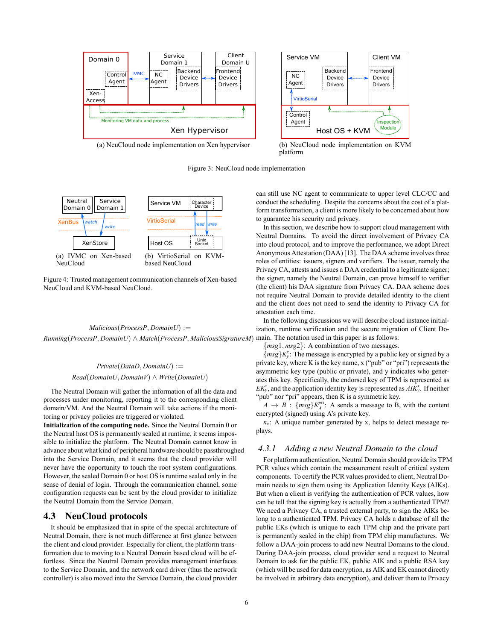

Figure 3: NeuCloud node implementation



Figure 4: Trusted management communication channels of Xen-based NeuCloud and KVM-based NeuCloud.

*Malicious*(*ProcessP, DomainU*) := *Running*(*ProcessP, DomainU*) *∧ Match*(*ProcessP, MaliciousSigratureM*) main. The notation used in this paper is as follows:

## $Private(DataD, DomainU) :=$ *Read*(*DomainU, DomainV*) *∧ Write*(*DomainU*)

The Neutral Domain will gather the information of all the data and processes under monitoring, reporting it to the corresponding client domain/VM. And the Neutral Domain will take actions if the monitoring or privacy policies are triggered or violated.

**Initialization of the computing node.** Since the Neutral Domain 0 or the Neutral host OS is permanently sealed at runtime, it seems impossible to initialize the platform. The Neutral Domain cannot know in advance about what kind of peripheral hardware should be passthroughed into the Service Domain, and it seems that the cloud provider will never have the opportunity to touch the root system configurations. However, the sealed Domain 0 or host OS is runtime sealed only in the sense of denial of login. Through the communication channel, some configuration requests can be sent by the cloud provider to initialize the Neutral Domain from the Service Domain.

## 4.3 NeuCloud protocols

It should be emphasized that in spite of the special architecture of Neutral Domain, there is not much difference at first glance between the client and cloud provider. Especially for client, the platform transformation due to moving to a Neutral Domain based cloud will be effortless. Since the Neutral Domain provides management interfaces to the Service Domain, and the network card driver (thus the network controller) is also moved into the Service Domain, the cloud provider can still use NC agent to communicate to upper level CLC/CC and conduct the scheduling. Despite the concerns about the cost of a platform transformation, a client is more likely to be concerned about how to guarantee his security and privacy.

In this section, we describe how to support cloud management with Neutral Domains. To avoid the direct involvement of Privacy CA into cloud protocol, and to improve the performance, we adopt Direct Anonymous Attestation (DAA) [13]. The DAA scheme involves three roles of entities: issuers, signers and verifiers. The issuer, namely the Privacy CA, attests and issues a DAA credential to a legitimate signer; the signer, namely the Neutral Domain, can prove himself to verifier (the client) his DAA signature from Privacy CA. DAA scheme does not require Neutral Domain to provide detailed identity to the client and the client does not need to send the identity to Privacy CA for attestation each time.

In the following discussions we will describe cloud instance initialization, runtime verification and the secure migration of Client Do-

*{msg*1*, msg*2*}*: A combination of two messages.

 ${msg}K_y^x$ : The message is encrypted by a public key or signed by a private key, where K is the key name, x ("pub" or "pri") represents the asymmetric key type (public or private), and y indicates who generates this key. Specifically, the endorsed key of TPM is represented as  $EK_y^x$ , and the application identity key is represented as  $AIK_y^x$ . If neither "pub" nor "pri" appears, then K is a symmetric key.

 $A \rightarrow B$ :  $\{msg\}K_A^{pri}$ : A sends a message to B, with the content encrypted (signed) using A's private key.

 $n<sub>x</sub>$ : A unique number generated by x, helps to detect message replays.

## *4.3.1 Adding a new Neutral Domain to the cloud*

For platform authentication, Neutral Domain should provide its TPM PCR values which contain the measurement result of critical system components. To certify the PCR values provided to client, Neutral Domain needs to sign them using its Application Identity Keys (AIKs). But when a client is verifying the authentication of PCR values, how can he tell that the signing key is actually from a authenticated TPM? We need a Privacy CA, a trusted external party, to sign the AIKs belong to a authenticated TPM. Privacy CA holds a database of all the public EKs (which is unique to each TPM chip and the private part is permanently sealed in the chip) from TPM chip manufactures. We follow a DAA-join process to add new Neutral Domains to the cloud. During DAA-join process, cloud provider send a request to Neutral Domain to ask for the public EK, public AIK and a public RSA key (which will be used for data encryption, as AIK and EK cannot directly be involved in arbitrary data encryption), and deliver them to Privacy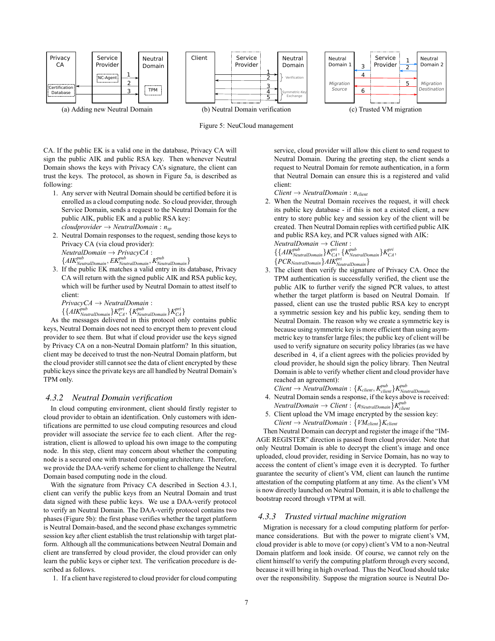



CA. If the public EK is a valid one in the database, Privacy CA will sign the public AIK and public RSA key. Then whenever Neutral Domain shows the keys with Privacy CA's signature, the client can trust the keys. The protocol, as shown in Figure 5a, is described as following:

- 1. Any server with Neutral Domain should be certified before it is enrolled as a cloud computing node. So cloud provider, through Service Domain, sends a request to the Neutral Domain for the public AIK, public EK and a public RSA key: *cloudprovider → NeutralDomain* : *nsp*
- 2. Neutral Domain responses to the request, sending those keys to Privacy CA (via cloud provider): *NeutralDomain → PrivacyCA* : *{AIKpub NeutralDomain, EKpub NeutralDomain, K pub NeutralDomain}*
- 3. If the public EK matches a valid entry in its database, Privacy CA will return with the signed public AIK and RSA public key, which will be further used by Neutral Domain to attest itself to client:

*PrivacyCA → NeutralDomain* :

 $\{ \{ AIK_{\textit{NeutralDomain}}^{\textit{pub}} \} K_{CA}^{\textit{pri}}, \{ K_{\textit{NeutralDomain}}^{\textit{pub}} \} K_{CA}^{\textit{pri}} \}$ 

As the messages delivered in this protocol only contains public keys, Neutral Domain does not need to encrypt them to prevent cloud provider to see them. But what if cloud provider use the keys signed by Privacy CA on a non-Neutral Domain platform? In this situation, client may be deceived to trust the non-Neutral Domain platform, but the cloud provider still cannot see the data of client encrypted by these public keys since the private keys are all handled by Neutral Domain's TPM only.

#### *4.3.2 Neutral Domain verification*

In cloud computing environment, client should firstly register to cloud provider to obtain an identification. Only customers with identifications are permitted to use cloud computing resources and cloud provider will associate the service fee to each client. After the registration, client is allowed to upload his own image to the computing node. In this step, client may concern about whether the computing node is a secured one with trusted computing architecture. Therefore, we provide the DAA-verify scheme for client to challenge the Neutral Domain based computing node in the cloud.

With the signature from Privacy CA described in Section 4.3.1, client can verify the public keys from an Neutral Domain and trust data signed with these public keys. We use a DAA-verify protocol to verify an Neutral Domain. The DAA-verify protocol contains two phases (Figure 5b): the first phase verifies whether the target platform is Neutral Domain-based, and the second phase exchanges symmetric session key after client establish the trust relationship with target platform. Although all the communications between Neutral Domain and client are transferred by cloud provider, the cloud provider can only learn the public keys or cipher text. The verification procedure is described as follows.

1. If a client have registered to cloud provider for cloud computing

service, cloud provider will allow this client to send request to Neutral Domain. During the greeting step, the client sends a request to Neutral Domain for remote authentication, in a form that Neutral Domain can ensure this is a registered and valid client:

- *Client → NeutralDomain* : *nclient*
- 2. When the Neutral Domain receives the request, it will check its public key database - if this is not a existed client, a new entry to store public key and session key of the client will be created. Then Neutral Domain replies with certified public AIK and public RSA key, and PCR values signed with AIK:

$$
NeutralDomain \rightarrow Client:
$$

 $\{AIK_{NeutralDomain}^{pub}\}K_{CA}^{pri}, \{K_{NeutralDomain}^{pub}\}K_{CA}^{pri}, \}$ 

- *{PCRNeutralDomain}AIKpri NeutralDomain}*
- 3. The client then verify the signature of Privacy CA. Once the TPM authentication is successfully verified, the client use the public AIK to further verify the signed PCR values, to attest whether the target platform is based on Neutral Domain. If passed, client can use the trusted public RSA key to encrypt a symmetric session key and his public key, sending them to Neutral Domain. The reason why we create a symmetric key is because using symmetric key is more efficient than using asymmetric key to transfer large files; the public key of client will be used to verify signature on security policy libraries (as we have described in 4, if a client agrees with the policies provided by cloud provider, he should sign the policy library. Then Neutral Domain is able to verify whether client and cloud provider have reached an agreement):
- $Client \rightarrow NeutralDomain: \{K_{client}, K_{client}^{pub}\}$ *K*<sup>pub</sup><sub>NeutralDomain</sub>
- 4. Neutral Domain sends a response, if the keys above is received:  $N$ eutral $D$ omain  $\rightarrow$  *Client* :  $\{n_{NeutralDomain}\}K^{pub}_{client}$
- 5. Client upload the VM image encrypted by the session key:  $Client \rightarrow NeutralDomain: \{VM_{client}\}$ *K*<sup>*client*</sup>

Then Neutral Domain can decrypt and register the image if the "IM-AGE REGISTER" direction is passed from cloud provider. Note that only Neutral Domain is able to decrypt the client's image and once uploaded, cloud provider, residing in Service Domain, has no way to access the content of client's image even it is decrypted. To further guarantee the security of client's VM, client can launch the runtime attestation of the computing platform at any time. As the client's VM is now directly launched on Neutral Domain, it is able to challenge the bootstrap record through vTPM at will.

#### *4.3.3 Trusted virtual machine migration*

Migration is necessary for a cloud computing platform for performance considerations. But with the power to migrate client's VM, cloud provider is able to move (or copy) client's VM to a non-Neutral Domain platform and look inside. Of course, we cannot rely on the client himself to verify the computing platform through every second, because it will bring in high overload. Thus the NeuCloud should take over the responsibility. Suppose the migration source is Neutral Do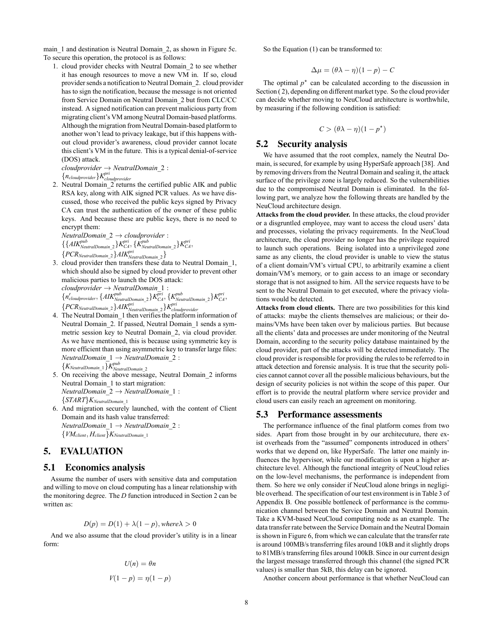main 1 and destination is Neutral Domain 2, as shown in Figure 5c. To secure this operation, the protocol is as follows:

1. cloud provider checks with Neutral Domain\_2 to see whether it has enough resources to move a new VM in. If so, cloud provider sends a notification to Neutral Domain\_2. cloud provider has to sign the notification, because the message is not oriented from Service Domain on Neutral Domain\_2 but from CLC/CC instead. A signed notification can prevent malicious party from migrating client's VM among Neutral Domain-based platforms. Although the migration from Neutral Domain-based platform to another won't lead to privacy leakage, but if this happens without cloud provider's awareness, cloud provider cannot locate this client's VM in the future. This is a typical denial-of-service (DOS) attack.

*cloudprovider → NeutralDomain*\_2 : *{ncloudprovider}K pri cloudprovider*

2. Neutral Domain\_2 returns the certified public AIK and public RSA key, along with AIK signed PCR values. As we have discussed, those who received the public keys signed by Privacy CA can trust the authentication of the owner of these public keys. And because these are public keys, there is no need to encrypt them:

$$
Neutral Domain_2 \rightarrow cloud provider: \n{AIKNeutralDomain_2}KCACA, {KNeutralDomain_2}KCACA, \n{PCRNeutralDomain_2}AIKNeutralDomain_2}KCACA,
$$

- *N* CryseutralDomain\_2 *SAIR* <sub>NeutralDomain\_2 *S*<br>3. cloud provider then transfers these data to Neutral Domain\_1,</sub> which should also be signed by cloud provider to prevent other malicious parties to launch the DOS attack: *cloudprovider → NeutralDomain*\_1 :  ${n'_cloud provider, {AIK^{pub}_{NeutralDomain 2}}K^{pri}_{CA}, {K^{pub}_{NeutralDomain 2}}K^{pri}_{CA},$  $\{PCR_{NeutralDomain_2}\}AIK^{pri}_{NeutralDomain_2}\}K^{pri}_{cloudprovider}$
- 4. The Neutral Domain\_1 then verifies the platform information of Neutral Domain\_2. If passed, Neutral Domain\_1 sends a symmetric session key to Neutral Domain\_2, via cloud provider. As we have mentioned, this is because using symmetric key is more efficient than using asymmetric key to transfer large files: *NeutralDomain*\_1 *→ NeutralDomain*\_2 :  $\{K_{NeutralDomain\_1}\}$ *K*<sup>pub</sup><br> *NeutralDomain*\_2
- 5. On receiving the above message, Neutral Domain\_2 informs Neutral Domain\_1 to start migration: *NeutralDomain*\_2 *→ NeutralDomain*\_1 : *{START}KNeutralDomain*\_<sup>1</sup>
- 6. And migration securely launched, with the content of Client Domain and its hash value transferred: *NeutralDomain*\_1 *→ NeutralDomain*\_2 : *{VMclient, Hclient}KNeutralDomain*\_<sup>1</sup>

# 5. EVALUATION

## 5.1 Economics analysis

Assume the number of users with sensitive data and computation and willing to move on cloud computing has a linear relationship with the monitoring degree. The *D* function introduced in Section 2 can be written as:

$$
D(p) = D(1) + \lambda(1 - p), \text{where } \lambda > 0
$$

And we also assume that the cloud provider's utility is in a linear form:

$$
U(n) = \theta n
$$

$$
V(1-p) = \eta(1-p)
$$

So the Equation (1) can be transformed to:

$$
\Delta \mu = (\theta \lambda - \eta)(1 - p) - C
$$

The optimal  $p^*$  can be calculated according to the discussion in Section ( 2), depending on different market type. So the cloud provider can decide whether moving to NeuCloud architecture is worthwhile, by measuring if the following condition is satisfied:

$$
C > (\theta \lambda - \eta)(1 - p^*)
$$

#### 5.2 Security analysis

We have assumed that the root complex, namely the Neutral Domain, is secured, for example by using HyperSafe approach [38]. And by removing drivers from the Neutral Domain and sealing it, the attack surface of the privilege zone is largely reduced. So the vulnerabilities due to the compromised Neutral Domain is eliminated. In the following part, we analyze how the following threats are handled by the NeuCloud architecture design.

**Attacks from the cloud provider.** In these attacks, the cloud provider or a disgruntled employee, may want to access the cloud users' data and processes, violating the privacy requirements. In the NeuCloud architecture, the cloud provider no longer has the privilege required to launch such operations. Being isolated into a unprivileged zone same as any clients, the cloud provider is unable to view the status of a client domain/VM's virtual CPU, to arbitrarily examine a client domain/VM's memory, or to gain access to an image or secondary storage that is not assigned to him. All the service requests have to be sent to the Neutral Domain to get executed, where the privacy violations would be detected.

**Attacks from cloud clients.** There are two possibilities for this kind of attacks: maybe the clients themselves are malicious; or their domains/VMs have been taken over by malicious parties. But because all the clients' data and processes are under monitoring of the Neutral Domain, according to the security policy database maintained by the cloud provider, part of the attacks will be detected immediately. The cloud provider is responsible for providing the rules to be referred to in attack detection and forensic analysis. It is true that the security policies cannot cannot cover all the possible malicious behaviours, but the design of security policies is not within the scope of this paper. Our effort is to provide the neutral platform where service provider and cloud users can easily reach an agreement on monitoring.

#### 5.3 Performance assessments

The performance influence of the final platform comes from two sides. Apart from those brought in by our architecuture, there exist overheads from the "assumed" components introduced in others' works that we depend on, like HyperSafe. The latter one mainly influences the hypervisor, while our modification is upon a higher architecture level. Although the functional integrity of NeuCloud relies on the low-level mechanisms, the performance is independent from them. So here we only consider if NeuCloud alone brings in negligible overhead. The specification of our test environment is in Table 3 of Appendix B. One possible bottleneck of performance is the communication channel between the Service Domain and Neutral Domain. Take a KVM-based NeuCloud computing node as an example. The data transfer rate between the Service Domain and the Neutral Domain is shown in Figure 6, from which we can calculate that the transfer rate is around 100MB/s transferring files around 10kB and it slightly drops to 81MB/s transferring files around 100kB. Since in our current design the largest message transferred through this channel (the signed PCR values) is smaller than 5kB, this delay can be ignored.

Another concern about performance is that whether NeuCloud can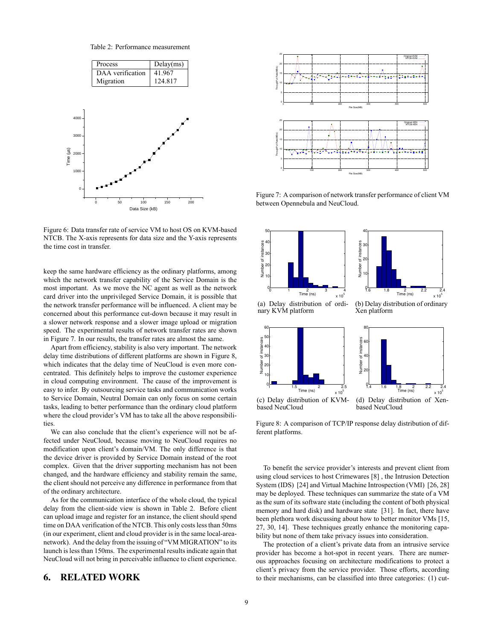Table 2: Performance measurement



Figure 6: Data transfer rate of service VM to host OS on KVM-based NTCB. The X-axis represents for data size and the Y-axis represents the time cost in transfer.

keep the same hardware efficiency as the ordinary platforms, among which the network transfer capability of the Service Domain is the most important. As we move the NC agent as well as the network card driver into the unprivileged Service Domain, it is possible that the network transfer performance will be influenced. A client may be concerned about this performance cut-down because it may result in a slower network response and a slower image upload or migration speed. The experimental results of network transfer rates are shown in Figure 7. In our results, the transfer rates are almost the same.

Apart from efficiency, stability is also very important. The network delay time distributions of different platforms are shown in Figure 8, which indicates that the delay time of NeuCloud is even more concentrated. This definitely helps to improve the customer experience in cloud computing environment. The cause of the improvement is easy to infer. By outsourcing service tasks and communication works to Service Domain, Neutral Domain can only focus on some certain tasks, leading to better performance than the ordinary cloud platform where the cloud provider's VM has to take all the above responsibilities.

We can also conclude that the client's experience will not be affected under NeuCloud, because moving to NeuCloud requires no modification upon client's domain/VM. The only difference is that the device driver is provided by Service Domain instead of the root complex. Given that the driver supporting mechanism has not been changed, and the hardware efficiency and stability remain the same, the client should not perceive any difference in performance from that of the ordinary architecture.

As for the communication interface of the whole cloud, the typical delay from the client-side view is shown in Table 2. Before client can upload image and register for an instance, the client should spend time on DAA verification of the NTCB. This only costs less than 50ms (in our experiment, client and cloud provider is in the same local-areanetwork). And the delay from the issuing of "VM MIGRATION" to its launch is less than 150ms. The experimental results indicate again that NeuCloud will not bring in perceivable influence to client experience.

## 6. RELATED WORK



Figure 7: A comparison of network transfer performance of client VM between Opennebula and NeuCloud.



Figure 8: A comparison of TCP/IP response delay distribution of different platforms.

To benefit the service provider's interests and prevent client from using cloud services to host Crimewares [8] , the Intrusion Detection System (IDS) [24] and Virtual Machine Introspection (VMI) [26, 28] may be deployed. These techniques can summarize the state of a VM as the sum of its software state (including the content of both physical memory and hard disk) and hardware state [31]. In fact, there have been plethora work discussing about how to better monitor VMs [15, 27, 30, 14]. These techniques greatly enhance the monitoring capability but none of them take privacy issues into consideration.

The protection of a client's private data from an intrusive service provider has become a hot-spot in recent years. There are numerous approaches focusing on architecture modifications to protect a client's privacy from the service provider. Those efforts, according to their mechanisms, can be classified into three categories: (1) cut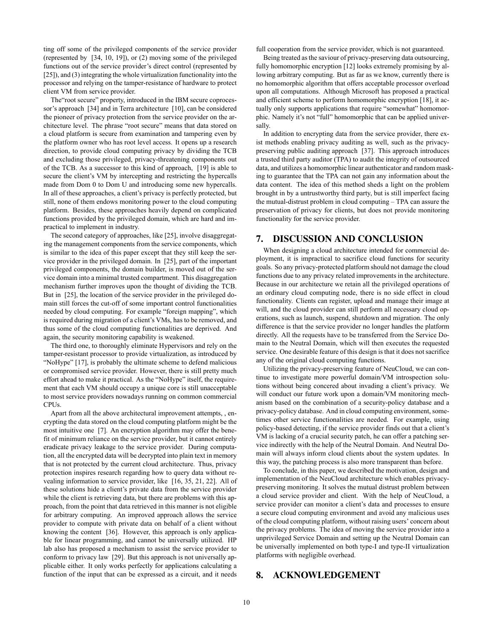ting off some of the privileged components of the service provider (represented by [34, 10, 19]), or (2) moving some of the privileged functions out of the service provider's direct control (represented by [25]), and (3) integrating the whole virtualization functionality into the processor and relying on the tamper-resistance of hardware to protect client VM from service provider.

The"root secure" property, introduced in the IBM secure coprocessor's approach [34] and in Terra architecture [10], can be considered the pioneer of privacy protection from the service provider on the architecture level. The phrase "root secure" means that data stored on a cloud platform is secure from examination and tampering even by the platform owner who has root level access. It opens up a research direction, to provide cloud computing privacy by dividing the TCB and excluding those privileged, privacy-threatening components out of the TCB. As a successor to this kind of approach, [19] is able to secure the client's VM by intercepting and restricting the hypercalls made from Dom 0 to Dom U and introducing some new hypercalls. In all of these approaches, a client's privacy is perfectly protected, but still, none of them endows monitoring power to the cloud computing platform. Besides, these approaches heavily depend on complicated functions provided by the privileged domain, which are hard and impractical to implement in industry.

The second category of approaches, like [25], involve disaggregating the management components from the service components, which is similar to the idea of this paper except that they still keep the service provider in the privileged domain. In [25], part of the important privileged components, the domain builder, is moved out of the service domain into a minimal trusted compartment. This disaggregation mechanism further improves upon the thought of dividing the TCB. But in [25], the location of the service provider in the privileged domain still forces the cut-off of some important control functionalities needed by cloud computing. For example "foreign mapping", which is required during migration of a client's VMs, has to be removed, and thus some of the cloud computing functionalities are deprived. And again, the security monitoring capability is weakened.

The third one, to thoroughly eliminate Hypervisors and rely on the tamper-resistant processor to provide virtualization, as introduced by "NoHype" [17], is probably the ultimate scheme to defend malicious or compromised service provider. However, there is still pretty much effort ahead to make it practical. As the "NoHype" itself, the requirement that each VM should occupy a unique core is still unacceptable to most service providers nowadays running on common commercial **CPUs** 

Apart from all the above architectural improvement attempts, , encrypting the data stored on the cloud computing platform might be the most intuitive one [7]. An encryption algorithm may offer the benefit of minimum reliance on the service provider, but it cannot entirely eradicate privacy leakage to the service provider. During computation, all the encrypted data will be decrypted into plain text in memory that is not protected by the current cloud architecture. Thus, privacy protection inspires research regarding how to query data without revealing information to service provider, like [16, 35, 21, 22]. All of these solutions hide a client's private data from the service provider while the client is retrieving data, but there are problems with this approach, from the point that data retrieved in this manner is not eligible for arbitrary computing. An improved approach allows the service provider to compute with private data on behalf of a client without knowing the content [36]. However, this approach is only applicable for linear programming, and cannot be universally utilized. HP lab also has proposed a mechanism to assist the service provider to conform to privacy law [29]. But this approach is not universally applicable either. It only works perfectly for applications calculating a function of the input that can be expressed as a circuit, and it needs full cooperation from the service provider, which is not guaranteed.

Being treated as the saviour of privacy-preserving data outsourcing, fully homomorphic encryption [12] looks extremely promising by allowing arbitrary computing. But as far as we know, currently there is no homomorphic algorithm that offers acceptable processor overload upon all computations. Although Microsoft has proposed a practical and efficient scheme to perform homomorphic encryption [18], it actually only supports applications that require "somewhat" homomorphic. Namely it's not "full" homomorphic that can be applied universally.

In addition to encrypting data from the service provider, there exist methods enabling privacy auditing as well, such as the privacypreserving public auditing approach [37]. This approach introduces a trusted third party auditor (TPA) to audit the integrity of outsourced data, and utilizes a homomorphic linear authenticator and random masking to guarantee that the TPA can not gain any information about the data content. The idea of this method sheds a light on the problem brought in by a untrustworthy third party, but is still imperfect facing the mutual-distrust problem in cloud computing – TPA can assure the preservation of privacy for clients, but does not provide monitoring functionality for the service provider.

## 7. DISCUSSION AND CONCLUSION

When designing a cloud architecture intended for commercial deployment, it is impractical to sacrifice cloud functions for security goals. So any privacy-protected platform should not damage the cloud functions due to any privacy related improvements in the architecture. Because in our architecture we retain all the privileged operations of an ordinary cloud computing node, there is no side effect in cloud functionality. Clients can register, upload and manage their image at will, and the cloud provider can still perform all necessary cloud operations, such as launch, suspend, shutdown and migration. The only difference is that the service provider no longer handles the platform directly. All the requests have to be transferred from the Service Domain to the Neutral Domain, which will then executes the requested service. One desirable feature of this design is that it does not sacrifice any of the original cloud computing functions.

Utilizing the privacy-preserving feature of NeuCloud, we can continue to investigate more powerful domain/VM introspection solutions without being concered about invading a client's privacy. We will conduct our future work upon a domain/VM monitoring mechanism based on the combination of a security-policy database and a privacy-policy database. And in cloud computing environment, sometimes other service functionalities are needed. For example, using policy-based detecting, if the service provider finds out that a client's VM is lacking of a crucial security patch, he can offer a patching service indirectly with the help of the Neutral Domain. And Neutral Domain will always inform cloud clients about the system updates. In this way, the patching process is also more transparent than before.

To conclude, in this paper, we described the motivation, design and implementation of the NeuCloud architecture which enables privacypreserving monitoring. It solves the mutual distrust problem between a cloud service provider and client. With the help of NeuCloud, a service provider can monitor a client's data and processes to ensure a secure cloud computing environment and avoid any malicious uses of the cloud computing platform, without raising users' concern about the privacy problems. The idea of moving the service provider into a unprivileged Service Domain and setting up the Neutral Domain can be universally implemented on both type-I and type-II virtualization platforms with negligible overhead.

## 8. ACKNOWLEDGEMENT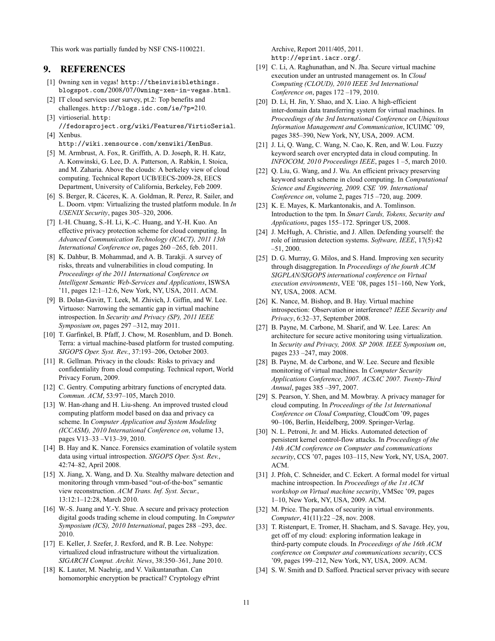This work was partially funded by NSF CNS-1100221.

## 9. REFERENCES

- [1] 0wning xen in vegas! http://theinvisiblethings. blogspot.com/2008/07/0wning-xen-in-vegas.html.
- [2] IT cloud services user survey, pt.2: Top benefits and challenges. http://blogs.idc.com/ie/?p=210.
- [3] virtioserial. http: //fedoraproject.org/wiki/Features/VirtioSerial.
- [4] Xenbus. http://wiki.xensource.com/xenwiki/XenBus.
- [5] M. Armbrust, A. Fox, R. Griffith, A. D. Joseph, R. H. Katz, A. Konwinski, G. Lee, D. A. Patterson, A. Rabkin, I. Stoica, and M. Zaharia. Above the clouds: A berkeley view of cloud computing. Technical Report UCB/EECS-2009-28, EECS Department, University of California, Berkeley, Feb 2009.
- [6] S. Berger, R. Cáceres, K. A. Goldman, R. Perez, R. Sailer, and L. Doorn. vtpm: Virtualizing the trusted platform module. In *In USENIX Security*, pages 305–320, 2006.
- [7] I.-H. Chuang, S.-H. Li, K.-C. Huang, and Y.-H. Kuo. An effective privacy protection scheme for cloud computing. In *Advanced Communication Technology (ICACT), 2011 13th International Conference on*, pages 260 –265, feb. 2011.
- [8] K. Dahbur, B. Mohammad, and A. B. Tarakii. A survey of risks, threats and vulnerabilities in cloud computing. In *Proceedings of the 2011 International Conference on Intelligent Semantic Web-Services and Applications*, ISWSA '11, pages 12:1–12:6, New York, NY, USA, 2011. ACM.
- [9] B. Dolan-Gavitt, T. Leek, M. Zhivich, J. Giffin, and W. Lee. Virtuoso: Narrowing the semantic gap in virtual machine introspection. In *Security and Privacy (SP), 2011 IEEE Symposium on*, pages 297 –312, may 2011.
- [10] T. Garfinkel, B. Pfaff, J. Chow, M. Rosenblum, and D. Boneh. Terra: a virtual machine-based platform for trusted computing. *SIGOPS Oper. Syst. Rev.*, 37:193–206, October 2003.
- [11] R. Gellman. Privacy in the clouds: Risks to privacy and confidentiality from cloud computing. Technical report, World Privacy Forum, 2009.
- [12] C. Gentry. Computing arbitrary functions of encrypted data. *Commun. ACM*, 53:97–105, March 2010.
- [13] W. Han-zhang and H. Liu-sheng. An improved trusted cloud computing platform model based on daa and privacy ca scheme. In *Computer Application and System Modeling (ICCASM), 2010 International Conference on*, volume 13, pages V13–33 –V13–39, 2010.
- [14] B. Hay and K. Nance. Forensics examination of volatile system data using virtual introspection. *SIGOPS Oper. Syst. Rev.*, 42:74–82, April 2008.
- [15] X. Jiang, X. Wang, and D. Xu. Stealthy malware detection and monitoring through vmm-based "out-of-the-box" semantic view reconstruction. *ACM Trans. Inf. Syst. Secur.*, 13:12:1–12:28, March 2010.
- [16] W.-S. Juang and Y.-Y. Shue. A secure and privacy protection digital goods trading scheme in cloud computing. In *Computer Symposium (ICS), 2010 International*, pages 288 –293, dec. 2010.
- [17] E. Keller, J. Szefer, J. Rexford, and R. B. Lee. Nohype: virtualized cloud infrastructure without the virtualization. *SIGARCH Comput. Archit. News*, 38:350–361, June 2010.
- [18] K. Lauter, M. Naehrig, and V. Vaikuntanathan. Can homomorphic encryption be practical? Cryptology ePrint

Archive, Report 2011/405, 2011. http://eprint.iacr.org/.

- [19] C. Li, A. Raghunathan, and N. Jha. Secure virtual machine execution under an untrusted management os. In *Cloud Computing (CLOUD), 2010 IEEE 3rd International Conference on*, pages 172 –179, 2010.
- [20] D. Li, H. Jin, Y. Shao, and X. Liao. A high-efficient inter-domain data transferring system for virtual machines. In *Proceedings of the 3rd International Conference on Ubiquitous Information Management and Communication*, ICUIMC '09, pages 385–390, New York, NY, USA, 2009. ACM.
- [21] J. Li, Q. Wang, C. Wang, N. Cao, K. Ren, and W. Lou. Fuzzy keyword search over encrypted data in cloud computing. In *INFOCOM, 2010 Proceedings IEEE*, pages 1 –5, march 2010.
- [22] O. Liu, G. Wang, and J. Wu. An efficient privacy preserving keyword search scheme in cloud computing. In *Computational Science and Engineering, 2009. CSE '09. International Conference on*, volume 2, pages 715 –720, aug. 2009.
- [23] K. E. Mayes, K. Markantonakis, and A. Tomlinson. Introduction to the tpm. In *Smart Cards, Tokens, Security and Applications*, pages 155–172. Springer US, 2008.
- [24] J. McHugh, A. Christie, and J. Allen. Defending yourself: the role of intrusion detection systems. *Software, IEEE*, 17(5):42 –51, 2000.
- [25] D. G. Murray, G. Milos, and S. Hand. Improving xen security through disaggregation. In *Proceedings of the fourth ACM SIGPLAN/SIGOPS international conference on Virtual execution environments*, VEE '08, pages 151–160, New York, NY, USA, 2008. ACM.
- [26] K. Nance, M. Bishop, and B. Hay. Virtual machine introspection: Observation or interference? *IEEE Security and Privacy*, 6:32–37, September 2008.
- [27] B. Payne, M. Carbone, M. Sharif, and W. Lee. Lares: An architecture for secure active monitoring using virtualization. In *Security and Privacy, 2008. SP 2008. IEEE Symposium on*, pages 233 –247, may 2008.
- [28] B. Payne, M. de Carbone, and W. Lee. Secure and flexible monitoring of virtual machines. In *Computer Security Applications Conference, 2007. ACSAC 2007. Twenty-Third Annual*, pages 385 –397, 2007.
- [29] S. Pearson, Y. Shen, and M. Mowbray. A privacy manager for cloud computing. In *Proceedings of the 1st International Conference on Cloud Computing*, CloudCom '09, pages 90–106, Berlin, Heidelberg, 2009. Springer-Verlag.
- [30] N. L. Petroni, Jr. and M. Hicks. Automated detection of persistent kernel control-flow attacks. In *Proceedings of the 14th ACM conference on Computer and communications security*, CCS '07, pages 103–115, New York, NY, USA, 2007. ACM.
- [31] J. Pfoh, C. Schneider, and C. Eckert. A formal model for virtual machine introspection. In *Proceedings of the 1st ACM workshop on Virtual machine security*, VMSec '09, pages 1–10, New York, NY, USA, 2009. ACM.
- [32] M. Price. The paradox of security in virtual environments. *Computer*, 41(11):22 –28, nov. 2008.
- [33] T. Ristenpart, E. Tromer, H. Shacham, and S. Savage. Hey, you, get off of my cloud: exploring information leakage in third-party compute clouds. In *Proceedings of the 16th ACM conference on Computer and communications security*, CCS '09, pages 199–212, New York, NY, USA, 2009. ACM.
- [34] S. W. Smith and D. Safford. Practical server privacy with secure